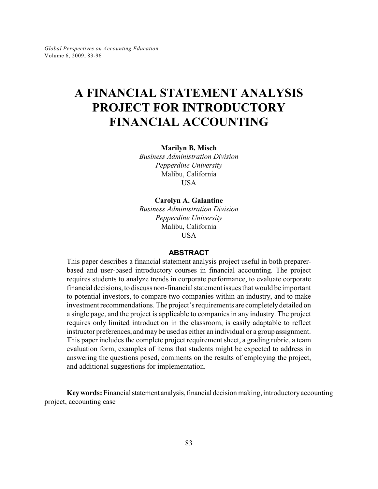# **A FINANCIAL STATEMENT ANALYSIS PROJECT FOR INTRODUCTORY FINANCIAL ACCOUNTING**

**Marilyn B. Misch**

*Business Administration Division Pepperdine University* Malibu, California **USA** 

**Carolyn A. Galantine** *Business Administration Division*

*Pepperdine University* Malibu, California **USA** 

### **ABSTRACT**

This paper describes a financial statement analysis project useful in both preparerbased and user-based introductory courses in financial accounting. The project requires students to analyze trends in corporate performance, to evaluate corporate financial decisions, to discuss non-financial statement issues that would be important to potential investors, to compare two companies within an industry, and to make investment recommendations. The project's requirements are completely detailed on a single page, and the project is applicable to companies in any industry. The project requires only limited introduction in the classroom, is easily adaptable to reflect instructor preferences, and maybe used as either an individual or a group assignment. This paper includes the complete project requirement sheet, a grading rubric, a team evaluation form, examples of items that students might be expected to address in answering the questions posed, comments on the results of employing the project, and additional suggestions for implementation.

**Key words:** Financial statement analysis, financial decision making, introductory accounting project, accounting case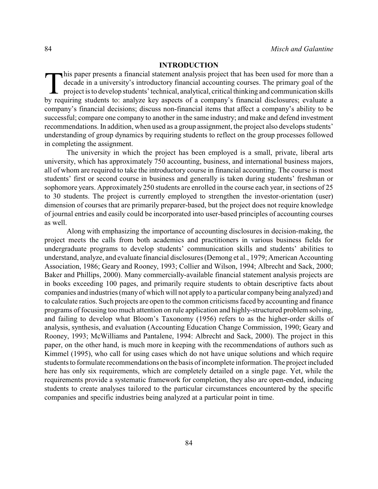### **INTRODUCTION**

his paper presents a financial statement analysis project that has been used for more than a decade in a university's introductory financial accounting courses. The primary goal of the project is to develop students' techn his paper presents a financial statement analysis project that has been used for more than a decade in a university's introductory financial accounting courses. The primary goal of the project is to develop students' technical, analytical, critical thinking and communication skills company's financial decisions; discuss non-financial items that affect a company's ability to be successful; compare one company to another in the same industry; and make and defend investment recommendations. In addition, when used as a group assignment, the project also develops students' understanding of group dynamics by requiring students to reflect on the group processes followed in completing the assignment.

The university in which the project has been employed is a small, private, liberal arts university, which has approximately 750 accounting, business, and international business majors, all of whom are required to take the introductory course in financial accounting. The course is most students' first or second course in business and generally is taken during students' freshman or sophomore years. Approximately 250 students are enrolled in the course each year, in sections of 25 to 30 students. The project is currently employed to strengthen the investor-orientation (user) dimension of courses that are primarily preparer-based, but the project does not require knowledge of journal entries and easily could be incorporated into user-based principles of accounting courses as well.

Along with emphasizing the importance of accounting disclosures in decision-making, the project meets the calls from both academics and practitioners in various business fields for undergraduate programs to develop students' communication skills and students' abilities to understand, analyze, and evaluate financial disclosures (Demong et al., 1979; American Accounting Association, 1986; Geary and Rooney, 1993; Collier and Wilson, 1994; Albrecht and Sack, 2000; Baker and Phillips, 2000). Many commercially-available financial statement analysis projects are in books exceeding 100 pages, and primarily require students to obtain descriptive facts about companies and industries (many of which will not applyto a particular companybeing analyzed) and to calculate ratios. Such projects are open to the common criticisms faced by accounting and finance programs of focusing too much attention on rule application and highly-structured problem solving, and failing to develop what Bloom's Taxonomy (1956) refers to as the higher-order skills of analysis, synthesis, and evaluation (Accounting Education Change Commission, 1990; Geary and Rooney, 1993; McWilliams and Pantalene, 1994: Albrecht and Sack, 2000). The project in this paper, on the other hand, is much more in keeping with the recommendations of authors such as Kimmel (1995), who call for using cases which do not have unique solutions and which require students to formulate recommendations on the basis of incomplete information. The project included here has only six requirements, which are completely detailed on a single page. Yet, while the requirements provide a systematic framework for completion, they also are open-ended, inducing students to create analyses tailored to the particular circumstances encountered by the specific companies and specific industries being analyzed at a particular point in time.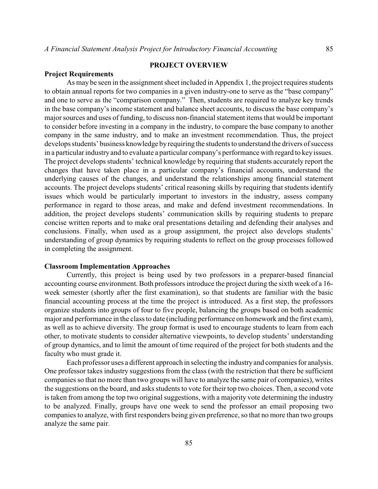# **PROJECT OVERVIEW**

#### **Project Requirements**

As may be seen in the assignment sheet included in Appendix 1, the project requires students to obtain annual reports for two companies in a given industry-one to serve as the "base company" and one to serve as the "comparison company." Then, students are required to analyze key trends in the base company's income statement and balance sheet accounts, to discuss the base company's major sources and uses of funding, to discuss non-financial statement items that would be important to consider before investing in a company in the industry, to compare the base company to another company in the same industry, and to make an investment recommendation. Thus, the project develops students' business knowledge byrequiring the students to understand the drivers of success in a particular industry and to evaluate a particular company's performance with regard to keyissues. The project develops students' technical knowledge by requiring that students accurately report the changes that have taken place in a particular company's financial accounts, understand the underlying causes of the changes, and understand the relationships among financial statement accounts. The project develops students' critical reasoning skills by requiring that students identify issues which would be particularly important to investors in the industry, assess company performance in regard to those areas, and make and defend investment recommendations. In addition, the project develops students' communication skills by requiring students to prepare concise written reports and to make oral presentations detailing and defending their analyses and conclusions. Finally, when used as a group assignment, the project also develops students' understanding of group dynamics by requiring students to reflect on the group processes followed in completing the assignment.

#### **Classroom Implementation Approaches**

Currently, this project is being used by two professors in a preparer-based financial accounting course environment. Both professors introduce the project during the sixth week of a 16 week semester (shortly after the first examination), so that students are familiar with the basic financial accounting process at the time the project is introduced. As a first step, the professors organize students into groups of four to five people, balancing the groups based on both academic major and performance in the class to date (including performance on homework and the first exam), as well as to achieve diversity. The group format is used to encourage students to learn from each other, to motivate students to consider alternative viewpoints, to develop students' understanding of group dynamics, and to limit the amount of time required of the project for both students and the faculty who must grade it.

Each professor uses a different approach in selecting the industryand companies for analysis. One professor takes industry suggestions from the class (with the restriction that there be sufficient companies so that no more than two groups will have to analyze the same pair of companies), writes the suggestions on the board, and asks students to vote for their top two choices. Then, a second vote is taken from among the top two original suggestions, with a majority vote determining the industry to be analyzed. Finally, groups have one week to send the professor an email proposing two companies to analyze, with first responders being given preference, so that no more than two groups analyze the same pair.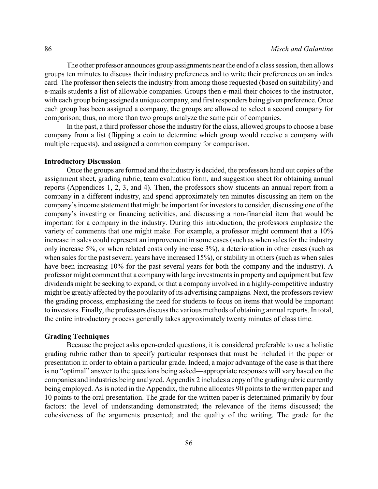The other professor announces group assignments nearthe end of a class session, then allows groups ten minutes to discuss their industry preferences and to write their preferences on an index card. The professor then selects the industry from among those requested (based on suitability) and e-mails students a list of allowable companies. Groups then e-mail their choices to the instructor, with each group being assigned a unique company, and first responders being given preference. Once each group has been assigned a company, the groups are allowed to select a second company for comparison; thus, no more than two groups analyze the same pair of companies.

In the past, a third professor chose the industry for the class, allowed groups to choose a base company from a list (flipping a coin to determine which group would receive a company with multiple requests), and assigned a common company for comparison.

### **Introductory Discussion**

Once the groups are formed and the industry is decided, the professors hand out copies of the assignment sheet, grading rubric, team evaluation form, and suggestion sheet for obtaining annual reports (Appendices 1, 2, 3, and 4). Then, the professors show students an annual report from a company in a different industry, and spend approximately ten minutes discussing an item on the company's income statement that might be important for investors to consider, discussing one of the company's investing or financing activities, and discussing a non-financial item that would be important for a company in the industry. During this introduction, the professors emphasize the variety of comments that one might make. For example, a professor might comment that a 10% increase in sales could represent an improvement in some cases (such as when sales for the industry only increase 5%, or when related costs only increase 3%), a deterioration in other cases (such as when sales for the past several years have increased 15%), or stability in others (such as when sales have been increasing 10% for the past several years for both the company and the industry). A professor might comment that a companywith large investments in property and equipment but few dividends might be seeking to expand, or that a company involved in a highly-competitive industry might be greatly affected by the popularity of its advertising campaigns. Next, the professors review the grading process, emphasizing the need for students to focus on items that would be important to investors. Finally, the professors discuss the various methods of obtaining annual reports. In total, the entire introductory process generally takes approximately twenty minutes of class time.

### **Grading Techniques**

Because the project asks open-ended questions, it is considered preferable to use a holistic grading rubric rather than to specify particular responses that must be included in the paper or presentation in order to obtain a particular grade. Indeed, a major advantage of the case is that there is no "optimal" answer to the questions being asked—appropriate responses will vary based on the companies and industries being analyzed. Appendix 2 includes a copy of the grading rubric currently being employed. As is noted in the Appendix, the rubric allocates 90 points to the written paper and 10 points to the oral presentation. The grade for the written paper is determined primarily by four factors: the level of understanding demonstrated; the relevance of the items discussed; the cohesiveness of the arguments presented; and the quality of the writing. The grade for the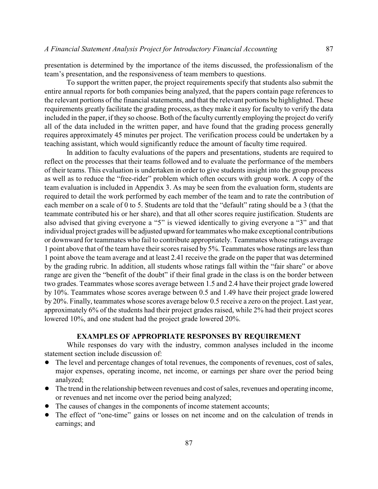presentation is determined by the importance of the items discussed, the professionalism of the team's presentation, and the responsiveness of team members to questions.

To support the written paper, the project requirements specify that students also submit the entire annual reports for both companies being analyzed, that the papers contain page references to the relevant portions of the financial statements, and that the relevant portions be highlighted. These requirements greatly facilitate the grading process, as they make it easy for faculty to verify the data included in the paper, if they so choose. Both of the faculty currently employing the project do verify all of the data included in the written paper, and have found that the grading process generally requires approximately 45 minutes per project. The verification process could be undertaken by a teaching assistant, which would significantly reduce the amount of faculty time required.

In addition to faculty evaluations of the papers and presentations, students are required to reflect on the processes that their teams followed and to evaluate the performance of the members of their teams. This evaluation is undertaken in order to give students insight into the group process as well as to reduce the "free-rider" problem which often occurs with group work. A copy of the team evaluation is included in Appendix 3. As may be seen from the evaluation form, students are required to detail the work performed by each member of the team and to rate the contribution of each member on a scale of 0 to 5. Students are told that the "default" rating should be a 3 (that the teammate contributed his or her share), and that all other scores require justification. Students are also advised that giving everyone a "5" is viewed identically to giving everyone a "3" and that individual project grades will be adjusted upward forteammates who make exceptional contributions or downward for teammates who fail to contribute appropriately. Teammates whose ratings average 1 point above that of the team have their scores raised by 5%. Teammates whose ratings are less than 1 point above the team average and at least 2.41 receive the grade on the paper that was determined by the grading rubric. In addition, all students whose ratings fall within the "fair share" or above range are given the "benefit of the doubt" if their final grade in the class is on the border between two grades. Teammates whose scores average between 1.5 and 2.4 have their project grade lowered by 10%. Teammates whose scores average between 0.5 and 1.49 have their project grade lowered by 20%. Finally, teammates whose scores average below 0.5 receive a zero on the project. Last year, approximately 6% of the students had their project grades raised, while 2% had their project scores lowered 10%, and one student had the project grade lowered 20%.

### **EXAMPLES OF APPROPRIATE RESPONSES BY REQUIREMENT**

While responses do vary with the industry, common analyses included in the income statement section include discussion of:

- The level and percentage changes of total revenues, the components of revenues, cost of sales, major expenses, operating income, net income, or earnings per share over the period being analyzed;
- The trend in the relationship between revenues and cost of sales, revenues and operating income, or revenues and net income over the period being analyzed;
- The causes of changes in the components of income statement accounts;
- The effect of "one-time" gains or losses on net income and on the calculation of trends in earnings; and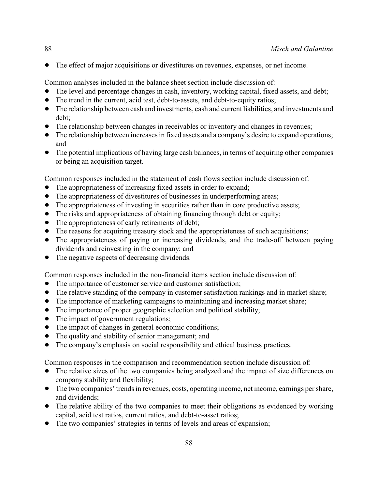• The effect of major acquisitions or divestitures on revenues, expenses, or net income.

Common analyses included in the balance sheet section include discussion of:

- The level and percentage changes in cash, inventory, working capital, fixed assets, and debt;
- The trend in the current, acid test, debt-to-assets, and debt-to-equity ratios;
- ! The relationship between cash and investments, cash and current liabilities, and investments and debt;
- The relationship between changes in receivables or inventory and changes in revenues;
- The relationship between increases in fixed assets and a company's desire to expand operations; and
- The potential implications of having large cash balances, in terms of acquiring other companies or being an acquisition target.

Common responses included in the statement of cash flows section include discussion of:

- The appropriateness of increasing fixed assets in order to expand;
- The appropriateness of divestitures of businesses in underperforming areas;
- The appropriateness of investing in securities rather than in core productive assets;
- The risks and appropriateness of obtaining financing through debt or equity;
- The appropriateness of early retirements of debt;
- The reasons for acquiring treasury stock and the appropriateness of such acquisitions;
- The appropriateness of paying or increasing dividends, and the trade-off between paying dividends and reinvesting in the company; and
- The negative aspects of decreasing dividends.

Common responses included in the non-financial items section include discussion of:

- The importance of customer service and customer satisfaction;
- The relative standing of the company in customer satisfaction rankings and in market share;
- ! The importance of marketing campaigns to maintaining and increasing market share;
- The importance of proper geographic selection and political stability;
- The impact of government regulations;
- The impact of changes in general economic conditions;
- The quality and stability of senior management; and
- The company's emphasis on social responsibility and ethical business practices.

Common responses in the comparison and recommendation section include discussion of:

- The relative sizes of the two companies being analyzed and the impact of size differences on company stability and flexibility;
- The two companies' trends in revenues, costs, operating income, net income, earnings per share, and dividends;
- The relative ability of the two companies to meet their obligations as evidenced by working capital, acid test ratios, current ratios, and debt-to-asset ratios;
- The two companies' strategies in terms of levels and areas of expansion;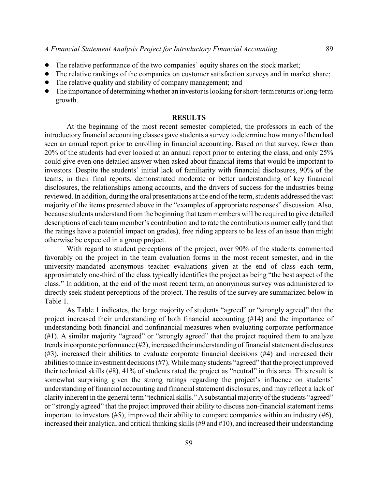- ! The relative performance of the two companies' equity shares on the stock market;
- The relative rankings of the companies on customer satisfaction surveys and in market share;
- The relative quality and stability of company management; and
- The importance of determining whether an investor is looking for short-term returns or long-term growth.

### **RESULTS**

At the beginning of the most recent semester completed, the professors in each of the introductory financial accounting classes gave students a surveyto determine how many of them had seen an annual report prior to enrolling in financial accounting. Based on that survey, fewer than 20% of the students had ever looked at an annual report prior to entering the class, and only 25% could give even one detailed answer when asked about financial items that would be important to investors. Despite the students' initial lack of familiarity with financial disclosures, 90% of the teams, in their final reports, demonstrated moderate or better understanding of key financial disclosures, the relationships among accounts, and the drivers of success for the industries being reviewed. In addition, during the oral presentations at the end of the term, students addressed the vast majority of the items presented above in the "examples of appropriate responses" discussion. Also, because students understand from the beginning that team members will be required to give detailed descriptions of each team member's contribution and to rate the contributions numerically (and that the ratings have a potential impact on grades), free riding appears to be less of an issue than might otherwise be expected in a group project.

With regard to student perceptions of the project, over 90% of the students commented favorably on the project in the team evaluation forms in the most recent semester, and in the university-mandated anonymous teacher evaluations given at the end of class each term, approximately one-third of the class typically identifies the project as being "the best aspect of the class." In addition, at the end of the most recent term, an anonymous survey was administered to directly seek student perceptions of the project. The results of the survey are summarized below in Table 1.

As Table 1 indicates, the large majority of students "agreed" or "strongly agreed" that the project increased their understanding of both financial accounting (#14) and the importance of understanding both financial and nonfinancial measures when evaluating corporate performance (#1). A similar majority "agreed" or "strongly agreed" that the project required them to analyze trendsin corporate performance (#2), increased their understanding of financial statement disclosures (#3), increased their abilities to evaluate corporate financial decisions (#4) and increased their abilities to make investment decisions (#7). While many students "agreed" that the project improved their technical skills (#8), 41% of students rated the project as "neutral" in this area. This result is somewhat surprising given the strong ratings regarding the project's influence on students' understanding of financial accounting and financial statement disclosures, and may reflect a lack of clarity inherent in the general term "technical skills." A substantial majority of the students "agreed" or "strongly agreed" that the project improved their ability to discuss non-financial statement items important to investors (#5), improved their ability to compare companies within an industry (#6), increased their analytical and critical thinking skills (#9 and #10), and increased their understanding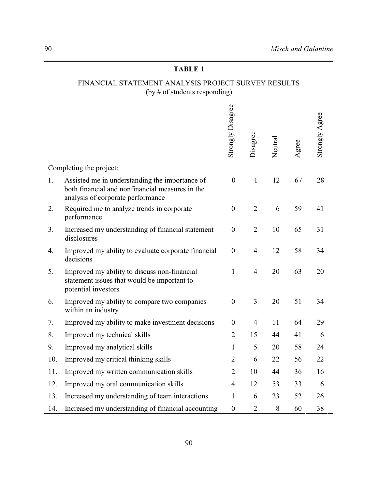# **TABLE 1**

# FINANCIAL STATEMENT ANALYSIS PROJECT SURVEY RESULTS (by # of students responding)

|     |                                                                                                                                        | Strongly Disagree | Disagree       | Neutral | Agree | Strongly Agree |
|-----|----------------------------------------------------------------------------------------------------------------------------------------|-------------------|----------------|---------|-------|----------------|
|     | Completing the project:                                                                                                                |                   |                |         |       |                |
| 1.  | Assisted me in understanding the importance of<br>both financial and nonfinancial measures in the<br>analysis of corporate performance | $\boldsymbol{0}$  | $\mathbf{1}$   | 12      | 67    | 28             |
| 2.  | Required me to analyze trends in corporate<br>performance                                                                              | $\boldsymbol{0}$  | $\overline{2}$ | 6       | 59    | 41             |
| 3.  | Increased my understanding of financial statement<br>disclosures                                                                       | $\boldsymbol{0}$  | $\overline{2}$ | 10      | 65    | 31             |
| 4.  | Improved my ability to evaluate corporate financial<br>decisions                                                                       | $\boldsymbol{0}$  | $\overline{4}$ | 12      | 58    | 34             |
| 5.  | Improved my ability to discuss non-financial<br>statement issues that would be important to<br>potential investors                     | $\mathbf{1}$      | $\overline{4}$ | 20      | 63    | 20             |
| 6.  | Improved my ability to compare two companies<br>within an industry                                                                     | $\boldsymbol{0}$  | 3              | 20      | 51    | 34             |
| 7.  | Improved my ability to make investment decisions                                                                                       | $\boldsymbol{0}$  | $\overline{4}$ | 11      | 64    | 29             |
| 8.  | Improved my technical skills                                                                                                           | $\overline{2}$    | 15             | 44      | 41    | 6              |
| 9.  | Improved my analytical skills                                                                                                          | $\mathbf{1}$      | 5              | 20      | 58    | 24             |
| 10. | Improved my critical thinking skills                                                                                                   | $\overline{2}$    | 6              | 22      | 56    | 22             |
| 11. | Improved my written communication skills                                                                                               | $\overline{2}$    | 10             | 44      | 36    | 16             |
| 12. | Improved my oral communication skills                                                                                                  | $\overline{4}$    | 12             | 53      | 33    | 6              |
| 13. | Increased my understanding of team interactions                                                                                        | $\mathbf{1}$      | 6              | 23      | 52    | 26             |
| 14. | Increased my understanding of financial accounting                                                                                     | $\boldsymbol{0}$  | $\overline{2}$ | 8       | 60    | 38             |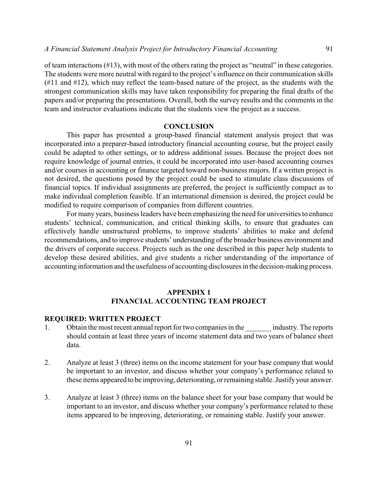of team interactions (#13), with most of the others rating the project as "neutral" in these categories. The students were more neutral with regard to the project's influence on their communication skills (#11 and #12), which may reflect the team-based nature of the project, as the students with the strongest communication skills may have taken responsibility for preparing the final drafts of the papers and/or preparing the presentations. Overall, both the survey results and the comments in the team and instructor evaluations indicate that the students view the project as a success.

### **CONCLUSION**

This paper has presented a group-based financial statement analysis project that was incorporated into a preparer-based introductory financial accounting course, but the project easily could be adapted to other settings, or to address additional issues. Because the project does not require knowledge of journal entries, it could be incorporated into user-based accounting courses and/or courses in accounting or finance targeted toward non-business majors. If a written project is not desired, the questions posed by the project could be used to stimulate class discussions of financial topics. If individual assignments are preferred, the project is sufficiently compact as to make individual completion feasible. If an international dimension is desired, the project could be modified to require comparison of companies from different countries.

For many years, business leaders have been emphasizing the need for universities to enhance students' technical, communication, and critical thinking skills, to ensure that graduates can effectively handle unstructured problems, to improve students' abilities to make and defend recommendations, and to improve students' understanding of the broader business environment and the drivers of corporate success. Projects such as the one described in this paper help students to develop these desired abilities, and give students a richer understanding of the importance of accounting information and the usefulness of accounting disclosures in the decision-making process.

# **APPENDIX 1 FINANCIAL ACCOUNTING TEAM PROJECT**

### **REQUIRED: WRITTEN PROJECT**

- 1. Obtain the most recent annual report for two companies in the industry. The reports should contain at least three years of income statement data and two years of balance sheet data.
- 2. Analyze at least 3 (three) items on the income statement for your base company that would be important to an investor, and discuss whether your company's performance related to these items appeared to be improving, deteriorating, or remaining stable. Justifyyour answer.
- 3. Analyze at least 3 (three) items on the balance sheet for your base company that would be important to an investor, and discuss whether your company's performance related to these items appeared to be improving, deteriorating, or remaining stable. Justify your answer.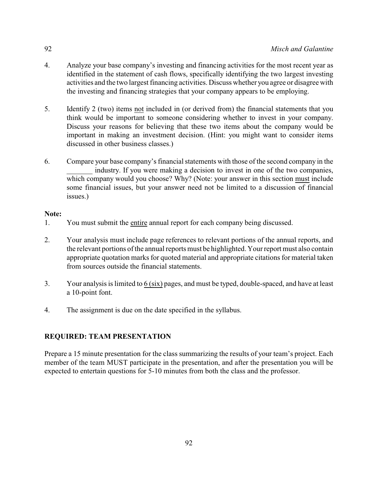- 4. Analyze your base company's investing and financing activities for the most recent year as identified in the statement of cash flows, specifically identifying the two largest investing activities and the two largest financing activities. Discuss whether you agree or disagree with the investing and financing strategies that your company appears to be employing.
- 5. Identify 2 (two) items not included in (or derived from) the financial statements that you think would be important to someone considering whether to invest in your company. Discuss your reasons for believing that these two items about the company would be important in making an investment decision. (Hint: you might want to consider items discussed in other business classes.)
- 6. Compare your base company's financial statements with those of the second company in the industry. If you were making a decision to invest in one of the two companies, which company would you choose? Why? (Note: your answer in this section must include some financial issues, but your answer need not be limited to a discussion of financial issues.)

# **Note:**

- 1. You must submit the entire annual report for each company being discussed.
- 2. Your analysis must include page references to relevant portions of the annual reports, and the relevant portions of the annual reports must be highlighted. Your report must also contain appropriate quotation marks for quoted material and appropriate citations for material taken from sources outside the financial statements.
- 3. Your analysis is limited to 6 (six) pages, and must be typed, double-spaced, and have at least a 10-point font.
- 4. The assignment is due on the date specified in the syllabus.

# **REQUIRED: TEAM PRESENTATION**

Prepare a 15 minute presentation for the class summarizing the results of your team's project. Each member of the team MUST participate in the presentation, and after the presentation you will be expected to entertain questions for 5-10 minutes from both the class and the professor.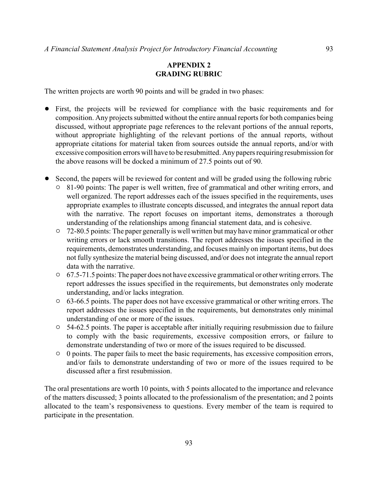# **APPENDIX 2 GRADING RUBRIC**

The written projects are worth 90 points and will be graded in two phases:

- ! First, the projects will be reviewed for compliance with the basic requirements and for composition. Any projects submitted without the entire annual reports for both companies being discussed, without appropriate page references to the relevant portions of the annual reports, without appropriate highlighting of the relevant portions of the annual reports, without appropriate citations for material taken from sources outside the annual reports, and/or with excessive composition errors will have to be resubmitted. Any papers requiring resubmission for the above reasons will be docked a minimum of 27.5 points out of 90.
- Second, the papers will be reviewed for content and will be graded using the following rubric
	- <sup>o</sup> 81-90 points: The paper is well written, free of grammatical and other writing errors, and well organized. The report addresses each of the issues specified in the requirements, uses appropriate examples to illustrate concepts discussed, and integrates the annual report data with the narrative. The report focuses on important items, demonstrates a thorough understanding of the relationships among financial statement data, and is cohesive.
	- <sup>o</sup> 72-80.5 points: The paper generally is well written but may have minor grammatical or other writing errors or lack smooth transitions. The report addresses the issues specified in the requirements, demonstrates understanding, and focuses mainly on important items, but does not fully synthesize the material being discussed, and/or does not integrate the annual report data with the narrative.
	- $\degree$  67.5-71.5 points: The paper does not have excessive grammatical or other writing errors. The report addresses the issues specified in the requirements, but demonstrates only moderate understanding, and/or lacks integration.
	- <sup>o</sup> 63-66.5 points. The paper does not have excessive grammatical or other writing errors. The report addresses the issues specified in the requirements, but demonstrates only minimal understanding of one or more of the issues.
	- $\circ$  54-62.5 points. The paper is acceptable after initially requiring resubmission due to failure to comply with the basic requirements, excessive composition errors, or failure to demonstrate understanding of two or more of the issues required to be discussed.
	- $\circ$  0 points. The paper fails to meet the basic requirements, has excessive composition errors, and/or fails to demonstrate understanding of two or more of the issues required to be discussed after a first resubmission.

The oral presentations are worth 10 points, with 5 points allocated to the importance and relevance of the matters discussed; 3 points allocated to the professionalism of the presentation; and 2 points allocated to the team's responsiveness to questions. Every member of the team is required to participate in the presentation.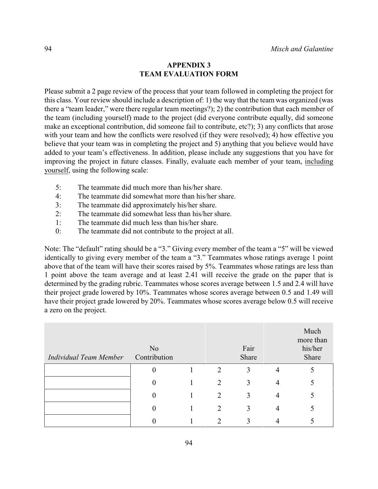## **APPENDIX 3 TEAM EVALUATION FORM**

Please submit a 2 page review of the process that your team followed in completing the project for this class. Your review should include a description of: 1) the way that the team was organized (was there a "team leader," were there regular team meetings?); 2) the contribution that each member of the team (including yourself) made to the project (did everyone contribute equally, did someone make an exceptional contribution, did someone fail to contribute, etc?); 3) any conflicts that arose with your team and how the conflicts were resolved (if they were resolved); 4) how effective you believe that your team was in completing the project and 5) anything that you believe would have added to your team's effectiveness. In addition, please include any suggestions that you have for improving the project in future classes. Finally, evaluate each member of your team, including yourself, using the following scale:

- 5: The teammate did much more than his/her share.
- 4: The teammate did somewhat more than his/her share.
- 3: The teammate did approximately his/her share.
- 2: The teammate did somewhat less than his/her share.
- 1: The teammate did much less than his/her share.
- 0: The teammate did not contribute to the project at all.

Note: The "default" rating should be a "3." Giving every member of the team a "5" will be viewed identically to giving every member of the team a "3." Teammates whose ratings average 1 point above that of the team will have their scores raised by 5%. Teammates whose ratings are less than 1 point above the team average and at least 2.41 will receive the grade on the paper that is determined by the grading rubric. Teammates whose scores average between 1.5 and 2.4 will have their project grade lowered by 10%. Teammates whose scores average between 0.5 and 1.49 will have their project grade lowered by 20%. Teammates whose scores average below 0.5 will receive a zero on the project.

| Individual Team Member | N <sub>o</sub><br>Contribution |                | Fair<br>Share |   | Much<br>more than<br>his/her<br>Share |
|------------------------|--------------------------------|----------------|---------------|---|---------------------------------------|
|                        | $\boldsymbol{0}$               | $\overline{2}$ | 3             | 4 | 5                                     |
|                        | $\boldsymbol{0}$               | $\overline{2}$ | 3             | 4 |                                       |
|                        | $\boldsymbol{0}$               | $\overline{2}$ | 3             | 4 |                                       |
|                        | $\boldsymbol{0}$               | 2              | 3             |   |                                       |
|                        | 0                              | ∍              |               |   |                                       |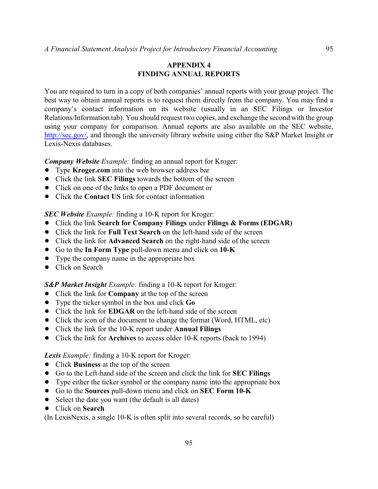# **APPENDIX 4 FINDING ANNUAL REPORTS**

You are required to turn in a copy of both companies' annual reports with your group project. The best way to obtain annual reports is to request them directly from the company. You may find a company's contact information on its website (usually in an SEC Filings or Investor Relations/Information tab). You should request two copies, and exchange the second with the group using your company for comparison. Annual reports are also available on the SEC website, <http://sec.gov/>, and through the university library website using either the S&P Market Insight or Lexis-Nexis databases.

*Company Website Example:* finding an annual report for Kroger:

- **•** Type **Kroger.com** into the web browser address bar
- ! Click the link **SEC Filings** towards the bottom of the screen
- Click on one of the links to open a PDF document or
- Click the **Contact US** link for contact information

*SEC Website Example:* finding a 10-K report for Kroger:

- ! Click the link **Search for Company Filings** under **Filings & Forms (EDGAR)**
- ! Click the link for **Full Text Search** on the left-hand side of the screen
- ! Click the link for **Advanced Search** on the right-hand side of the screen
- ! Go to the **In Form Type** pull-down menu and click on **10-K**
- Type the company name in the appropriate box
- Click on Search

*S&P Market Insight Example:* finding a 10-K report for Kroger:

- ! Click the link for **Company** at the top of the screen
- ! Type the ticker symbol in the box and click **Go**
- Click the link for **EDGAR** on the left-hand side of the screen
- Click the icon of the document to change the format (Word, HTML, etc)
- ! Click the link for the 10-K report under **Annual Filings**
- ! Click the link for **Archives** to access older 10-K reports (back to 1994)

*Lexis Example:* finding a 10-K report for Kroger:

- ! Click **Business** at the top of the screen
- ! Go to the Left-hand side of the screen and click the link for **SEC Filings**
- Type either the ticker symbol or the company name into the appropriate box
- ! Go to the **Sources** pull-down menu and click on **SEC Form 10-K**
- Select the date you want (the default is all dates)
- ! Click on **Search**

(In LexisNexis, a single 10-K is often split into several records, so be careful)